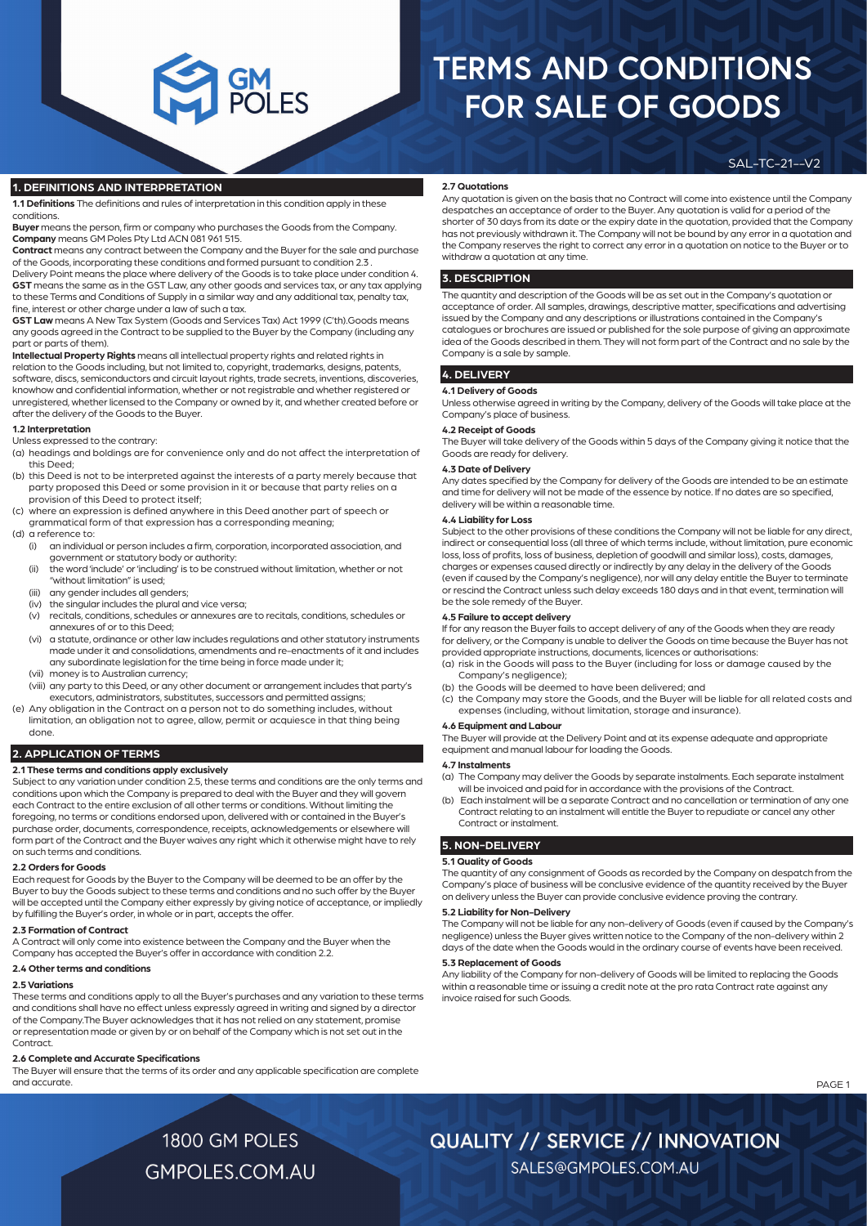#### SAL-TC-21--V2

#### **1. DEFINITIONS AND INTERPRETATION**

**1.1 Definitions** The definitions and rules of interpretation in this condition apply in these conditions.

**Buyer** means the person, firm or company who purchases the Goods from the Company. **Company** means GM Poles Pty Ltd ACN 081 961 515.

**Contract** means any contract between the Company and the Buyer for the sale and purchase of the Goods, incorporating these conditions and formed pursuant to condition 2.3 .

Delivery Point means the place where delivery of the Goods is to take place under condition 4. **GST** means the same as in the GST Law, any other goods and services tax, or any tax applying to these Terms and Conditions of Supply in a similar way and any additional tax, penalty tax, fine, interest or other charge under a law of such a tax.

**GST Law** means A New Tax System (Goods and Services Tax) Act 1999 (C'th).Goods means any goods agreed in the Contract to be supplied to the Buyer by the Company (including any part or parts of them).

**Intellectual Property Rights** means all intellectual property rights and related rights in relation to the Goods including, but not limited to, copyright, trademarks, designs, patents, software, discs, semiconductors and circuit layout rights, trade secrets, inventions, discoveries, knowhow and confidential information, whether or not registrable and whether registered or unregistered, whether licensed to the Company or owned by it, and whether created before or after the delivery of the Goods to the Buyer.

#### **1.2 Interpretation**

Unless expressed to the contrary:

- (a) headings and boldings are for convenience only and do not affect the interpretation of this Deed;
- (b) this Deed is not to be interpreted against the interests of a party merely because that party proposed this Deed or some provision in it or because that party relies on a provision of this Deed to protect itself;
- (c) where an expression is defined anywhere in this Deed another part of speech or grammatical form of that expression has a corresponding meaning;
- (d) a reference to:
	- (i) an individual or person includes a firm, corporation, incorporated association, and government or statutory body or authority:
	- (ii) the word 'include' or 'including' is to be construed without limitation, whether or not "without limitation" is used;
	- (iii) any gender includes all genders;
	- (iv) the singular includes the plural and vice versa;
	- (v) recitals, conditions, schedules or annexures are to recitals, conditions, schedules or annexures of or to this Deed;
	- (vi) a statute, ordinance or other law includes regulations and other statutory instruments made under it and consolidations, amendments and re-enactments of it and includes any subordinate legislation for the time being in force made under it;
	- (vii) money is to Australian currency;
	- (viii) any party to this Deed, or any other document or arrangement includes that party's executors, administrators, substitutes, successors and permitted assigns;
- (e) Any obligation in the Contract on a person not to do something includes, without limitation, an obligation not to agree, allow, permit or acquiesce in that thing being done.

#### **2. APPLICATION OF TERMS**

#### **2.1 These terms and conditions apply exclusively**

Subject to any variation under condition 2.5, these terms and conditions are the only terms and conditions upon which the Company is prepared to deal with the Buyer and they will govern each Contract to the entire exclusion of all other terms or conditions. Without limiting the foregoing, no terms or conditions endorsed upon, delivered with or contained in the Buyer's purchase order, documents, correspondence, receipts, acknowledgements or elsewhere will form part of the Contract and the Buyer waives any right which it otherwise might have to rely on such terms and conditions.

#### **2.2 Orders for Goods**

Each request for Goods by the Buyer to the Company will be deemed to be an offer by the Buyer to buy the Goods subject to these terms and conditions and no such offer by the Buyer will be accepted until the Company either expressly by giving notice of acceptance, or impliedly by fulfilling the Buyer's order, in whole or in part, accepts the offer.

#### **2.3 Formation of Contract**

A Contract will only come into existence between the Company and the Buyer when the Company has accepted the Buyer's offer in accordance with condition 2.2.

#### **2.4 Other terms and conditions**

#### **2.5 Variations**

These terms and conditions apply to all the Buyer's purchases and any variation to these terms and conditions shall have no effect unless expressly agreed in writing and signed by a director of the Company.The Buyer acknowledges that it has not relied on any statement, promise or representation made or given by or on behalf of the Company which is not set out in the **Contract** 

#### **2.6 Complete and Accurate Specifications**

The Buyer will ensure that the terms of its order and any applicable specification are complete and accurate.

#### **2.7 Quotations**

Any quotation is given on the basis that no Contract will come into existence until the Company despatches an acceptance of order to the Buyer. Any quotation is valid for a period of the shorter of 30 days from its date or the expiry date in the quotation, provided that the Company has not previously withdrawn it. The Company will not be bound by any error in a quotation and the Company reserves the right to correct any error in a quotation on notice to the Buyer or to withdraw a quotation at any time.

#### **3. DESCRIPTION**

The quantity and description of the Goods will be as set out in the Company's quotation or acceptance of order. All samples, drawings, descriptive matter, specifications and advertising issued by the Company and any descriptions or illustrations contained in the Company's catalogues or brochures are issued or published for the sole purpose of giving an approximate idea of the Goods described in them. They will not form part of the Contract and no sale by the Company is a sale by sample.

#### **4. DELIVERY**

#### **4.1 Delivery of Goods**

Unless otherwise agreed in writing by the Company, delivery of the Goods will take place at the Company's place of business.

#### **4.2 Receipt of Goods**

The Buyer will take delivery of the Goods within 5 days of the Company giving it notice that the Goods are ready for delivery.

#### **4.3 Date of Delivery**

Any dates specified by the Company for delivery of the Goods are intended to be an estimate and time for delivery will not be made of the essence by notice. If no dates are so specified, delivery will be within a reasonable time.

#### **4.4 Liability for Loss**

Subject to the other provisions of these conditions the Company will not be liable for any direct, indirect or consequential loss (all three of which terms include, without limitation, pure economic loss, loss of profits, loss of business, depletion of goodwill and similar loss), costs, damages, charges or expenses caused directly or indirectly by any delay in the delivery of the Goods (even if caused by the Company's negligence), nor will any delay entitle the Buyer to terminate or rescind the Contract unless such delay exceeds 180 days and in that event, termination will be the sole remedy of the Buyer.

#### **4.5 Failure to accept delivery**

If for any reason the Buyer fails to accept delivery of any of the Goods when they are ready for delivery, or the Company is unable to deliver the Goods on time because the Buyer has not provided appropriate instructions, documents, licences or authorisations:

- (a) risk in the Goods will pass to the Buyer (including for loss or damage caused by the Company's negligence);
- (b) the Goods will be deemed to have been delivered; and
- (c) the Company may store the Goods, and the Buyer will be liable for all related costs and expenses (including, without limitation, storage and insurance).

#### **4.6 Equipment and Labour**

The Buyer will provide at the Delivery Point and at its expense adequate and appropriate equipment and manual labour for loading the Goods.

#### **4.7 Instalments**

- (a) The Company may deliver the Goods by separate instalments. Each separate instalment will be invoiced and paid for in accordance with the provisions of the Contract.
- (b) Each instalment will be a separate Contract and no cancellation or termination of any one Contract relating to an instalment will entitle the Buyer to repudiate or cancel any other Contract or instalment.

#### **5. NON-DELIVERY**

#### **5.1 Quality of Goods**

The quantity of any consignment of Goods as recorded by the Company on despatch from the Company's place of business will be conclusive evidence of the quantity received by the Buyer on delivery unless the Buyer can provide conclusive evidence proving the contrary.

#### **5.2 Liability for Non-Delivery**

The Company will not be liable for any non-delivery of Goods (even if caused by the Company's negligence) unless the Buyer gives written notice to the Company of the non-delivery within 2 days of the date when the Goods would in the ordinary course of events have been received.

#### **5.3 Replacement of Goods**

Any liability of the Company for non-delivery of Goods will be limited to replacing the Goods within a reasonable time or issuing a credit note at the pro rata Contract rate against any invoice raised for such Goods.

SALES@GMPOLES.COM.AU

PAGE 1

1800 GM POLES **GMPOLES.COM.AU**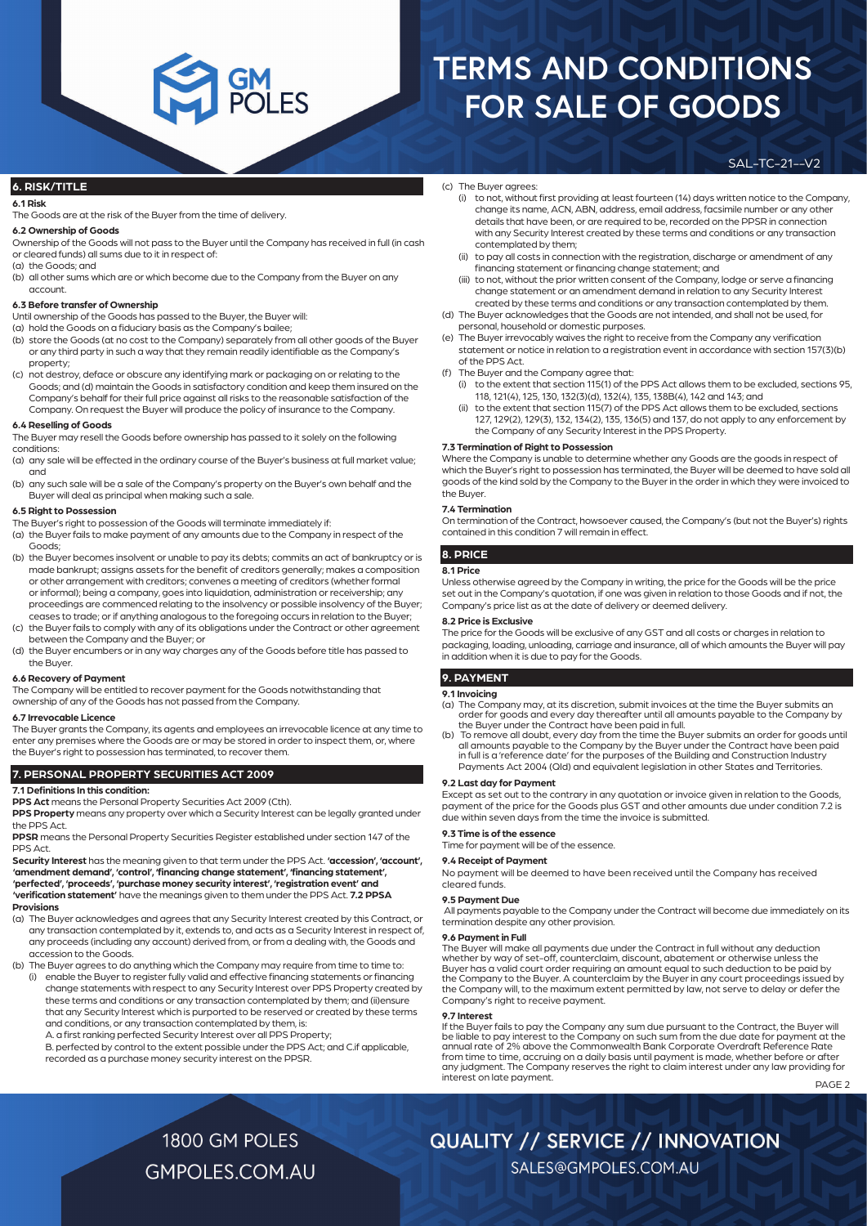#### **6. RISK/TITLE**

#### **6.1 Risk**

The Goods are at the risk of the Buyer from the time of delivery.

#### **6.2 Ownership of Goods**

Ownership of the Goods will not pass to the Buyer until the Company has received in full (in cash or cleared funds) all sums due to it in respect of:

- (a) the Goods; and
- (b) all other sums which are or which become due to the Company from the Buyer on any account.

#### **6.3 Before transfer of Ownership**

Until ownership of the Goods has passed to the Buyer, the Buyer will:

- (a) hold the Goods on a fiduciary basis as the Company's bailee;
- (b) store the Goods (at no cost to the Company) separately from all other goods of the Buyer or any third party in such a way that they remain readily identifiable as the Company's property;
- (c) not destroy, deface or obscure any identifying mark or packaging on or relating to the Goods; and (d) maintain the Goods in satisfactory condition and keep them insured on the Company's behalf for their full price against all risks to the reasonable satisfaction of the Company. On request the Buyer will produce the policy of insurance to the Company.

#### **6.4 Reselling of Goods**

The Buyer may resell the Goods before ownership has passed to it solely on the following conditions:

- (a) any sale will be effected in the ordinary course of the Buyer's business at full market value; and
- (b) any such sale will be a sale of the Company's property on the Buyer's own behalf and the Buyer will deal as principal when making such a sale.

#### **6.5 Right to Possession**

The Buyer's right to possession of the Goods will terminate immediately if:

- (a) the Buyer fails to make payment of any amounts due to the Company in respect of the Goods;
- (b) the Buyer becomes insolvent or unable to pay its debts; commits an act of bankruptcy or is made bankrupt; assigns assets for the benefit of creditors generally; makes a composition or other arrangement with creditors; convenes a meeting of creditors (whether formal or informal); being a company, goes into liquidation, administration or receivership; any proceedings are commenced relating to the insolvency or possible insolvency of the Buyer; ceases to trade; or if anything analogous to the foregoing occurs in relation to the Buyer;
- (c) the Buyer fails to comply with any of its obligations under the Contract or other agreement between the Company and the Buyer; or
- (d) the Buyer encumbers or in any way charges any of the Goods before title has passed to the Buyer.

#### **6.6 Recovery of Payment**

The Company will be entitled to recover payment for the Goods notwithstanding that ownership of any of the Goods has not passed from the Company.

#### **6.7 Irrevocable Licence**

The Buyer grants the Company, its agents and employees an irrevocable licence at any time to enter any premises where the Goods are or may be stored in order to inspect them, or, where the Buyer's right to possession has terminated, to recover them.

#### **7. PERSONAL PROPERTY SECURITIES ACT 2009**

**7.1 Definitions In this condition:** 

**PPS Act** means the Personal Property Securities Act 2009 (Cth).

**PPS Property** means any property over which a Security Interest can be legally granted under the PPS Act.

**PPSR** means the Personal Property Securities Register established under section 147 of the PPS Act

**Security Interest** has the meaning given to that term under the PPS Act. **'accession', 'account', 'amendment demand', 'control', 'financing change statement', 'financing statement', 'perfected', 'proceeds', 'purchase money security interest', 'registration event' and 'verification statement'** have the meanings given to them under the PPS Act. **7.2 PPSA Provisions**

- (a) The Buyer acknowledges and agrees that any Security Interest created by this Contract, or any transaction contemplated by it, extends to, and acts as a Security Interest in respect of, any proceeds (including any account) derived from, or from a dealing with, the Goods and accession to the Goods.
- (b) The Buyer agrees to do anything which the Company may require from time to time to: (i) enable the Buyer to register fully valid and effective financing statements or financing
	- change statements with respect to any Security Interest over PPS Property created by these terms and conditions or any transaction contemplated by them; and (ii)ensure that any Security Interest which is purported to be reserved or created by these terms and conditions, or any transaction contemplated by them, is:

A. a first ranking perfected Security Interest over all PPS Property;

B. perfected by control to the extent possible under the PPS Act; and C.if applicable, recorded as a purchase money security interest on the PPSR.

- (c) The Buyer agrees:
	- (i) to not, without first providing at least fourteen (14) days written notice to the Company, change its name, ACN, ABN, address, email address, facsimile number or any other details that have been, or are required to be, recorded on the PPSR in connection with any Security Interest created by these terms and conditions or any transaction contemplated by them;

SAL-TC-21--V2

- (ii) to pay all costs in connection with the registration, discharge or amendment of any financing statement or financing change statement; and
- (iii) to not, without the prior written consent of the Company, lodge or serve a financing change statement or an amendment demand in relation to any Security Interest created by these terms and conditions or any transaction contemplated by them.
- (d) The Buyer acknowledges that the Goods are not intended, and shall not be used, for personal, household or domestic purposes.
- (e) The Buyer irrevocably waives the right to receive from the Company any verification statement or notice in relation to a registration event in accordance with section 157(3)(b) of the PPS Act.
- (f) The Buyer and the Company agree that:
	- (i) to the extent that section 115(1) of the PPS Act allows them to be excluded, sections 95, 118, 121(4), 125, 130, 132(3)(d), 132(4), 135, 138B(4), 142 and 143; and
	- to the extent that section 115(7) of the PPS Act allows them to be excluded, sections 127, 129(2), 129(3), 132, 134(2), 135, 136(5) and 137, do not apply to any enforcement by the Company of any Security Interest in the PPS Property.

#### **7.3 Termination of Right to Possession**

Where the Company is unable to determine whether any Goods are the goods in respect of which the Buyer's right to possession has terminated, the Buyer will be deemed to have sold all goods of the kind sold by the Company to the Buyer in the order in which they were invoiced to the Buyer.

#### **7.4 Termination**

On termination of the Contract, howsoever caused, the Company's (but not the Buyer's) rights contained in this condition 7 will remain in effect.

#### **8. PRICE**

#### **8.1 Price**

Unless otherwise agreed by the Company in writing, the price for the Goods will be the price set out in the Company's quotation, if one was given in relation to those Goods and if not, the Company's price list as at the date of delivery or deemed delivery.

#### **8.2 Price is Exclusive**

The price for the Goods will be exclusive of any GST and all costs or charges in relation to packaging, loading, unloading, carriage and insurance, all of which amounts the Buyer will pay in addition when it is due to pay for the Goods.

#### **9. PAYMENT**

#### **9.1 Invoicing**

- (a) The Company may, at its discretion, submit invoices at the time the Buyer submits an order for goods and every day thereafter until all amounts payable to the Company by the Buyer under the Contract have been paid in full.
- (b) To remove all doubt, every day from the time the Buyer submits an order for goods until all amounts payable to the Company by the Buyer under the Contract have been paid in full is a 'reference date' for the purposes of the Building and Construction Industry Payments Act 2004 (Qld) and equivalent legislation in other States and Territories.

#### **9.2 Last day for Payment**

Except as set out to the contrary in any quotation or invoice given in relation to the Goods, payment of the price for the Goods plus GST and other amounts due under condition 7.2 is due within seven days from the time the invoice is submitted.

#### **9.3 Time is of the essence**

Time for payment will be of the essence.

#### **9.4 Receipt of Payment**

No payment will be deemed to have been received until the Company has received cleared funds.

#### **9.5 Payment Due**

 All payments payable to the Company under the Contract will become due immediately on its termination despite any other provision.

#### **9.6 Payment in Full**

The Buyer will make all payments due under the Contract in full without any deduction whether by way of set-off, counterclaim, discount, abatement or otherwise unless the Buyer has a valid court order requiring an amount equal to such deduction to be paid by the Company to the Buyer. A counterclaim by the Buyer in any court proceedings issued by the Company will, to the maximum extent permitted by law, not serve to delay or defer the Company's right to receive payment.

#### **9.7 Interest**

If the Buyer fails to pay the Company any sum due pursuant to the Contract, the Buyer will be liable to pay interest to the Company on such sum from the due date for payment at the annual rate of 2% above the Commonwealth Bank Corporate Overdraft Reference Rate from time to time, accruing on a daily basis until payment is made, whether before or after any judgment. The Company reserves the right to claim interest under any law providing for interest on late payment.

PAGE 2

1800 GM POLES **GMPOLES.COM.AU** 

### **QUALITY // SERVICE // INNOVATION**

SALES@GMPOLES.COM.AU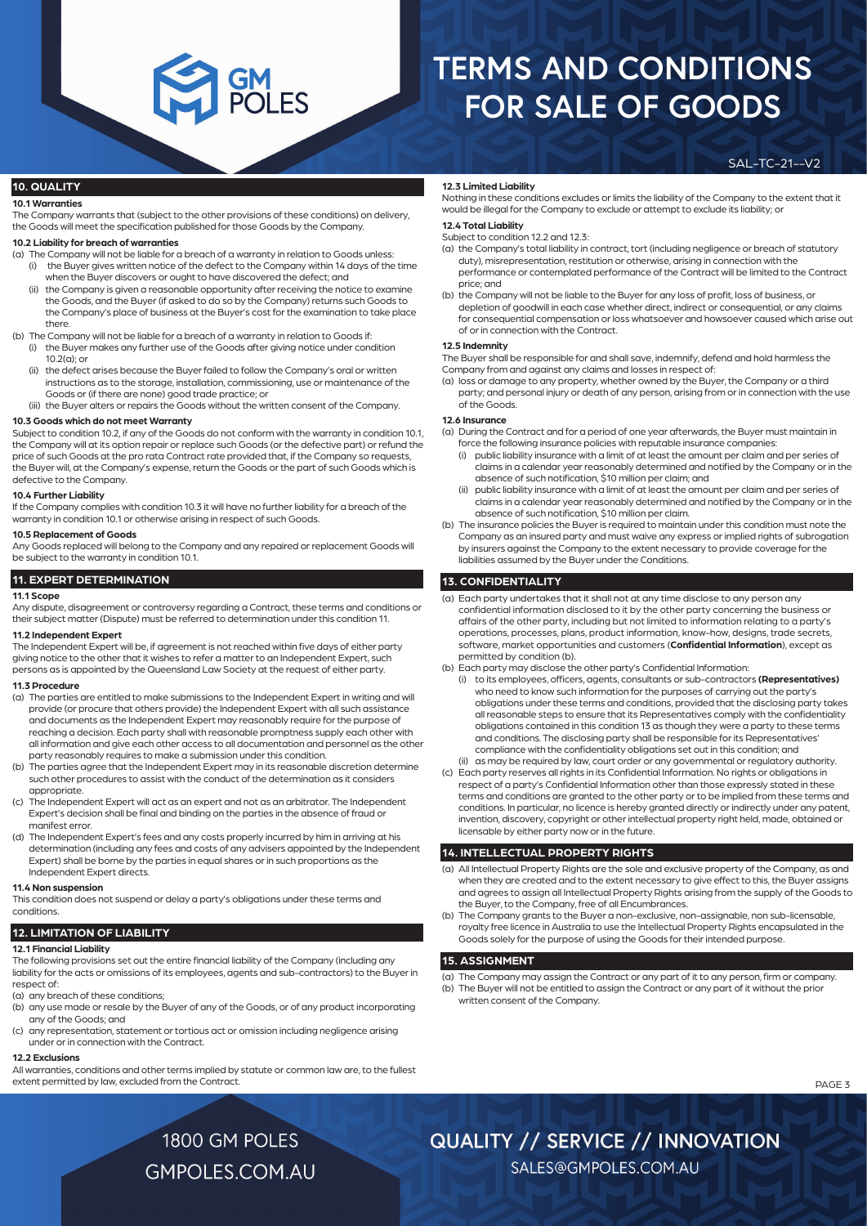SAL-TC-21--V2

#### **10. QUALITY**

#### **10.1 Warranties**

The Company warrants that (subject to the other provisions of these conditions) on delivery, the Goods will meet the specification published for those Goods by the Company.

#### **10.2 Liability for breach of warranties**

- (a) The Company will not be liable for a breach of a warranty in relation to Goods unless: (i) the Buyer gives written notice of the defect to the Company within 14 days of the time when the Buyer discovers or ought to have discovered the defect; and
	- (ii) the Company is given a reasonable opportunity after receiving the notice to examine the Goods, and the Buyer (if asked to do so by the Company) returns such Goods to the Company's place of business at the Buyer's cost for the examination to take place there.
- (b) The Company will not be liable for a breach of a warranty in relation to Goods if: (i) the Buyer makes any further use of the Goods after giving notice under condition 10.2(a); or
	- (ii) the defect arises because the Buyer failed to follow the Company's oral or written instructions as to the storage, installation, commissioning, use or maintenance of the Goods or (if there are none) good trade practice; or
- (iii) the Buyer alters or repairs the Goods without the written consent of the Company.

#### **10.3 Goods which do not meet Warranty**

Subject to condition 10.2, if any of the Goods do not conform with the warranty in condition 10.1, the Company will at its option repair or replace such Goods (or the defective part) or refund the price of such Goods at the pro rata Contract rate provided that, if the Company so requests, the Buyer will, at the Company's expense, return the Goods or the part of such Goods which is defective to the Company.

#### **10.4 Further Liability**

If the Company complies with condition 10.3 it will have no further liability for a breach of the warranty in condition 10.1 or otherwise arising in respect of such Goods.

#### **10.5 Replacement of Goods**

Any Goods replaced will belong to the Company and any repaired or replacement Goods will be subject to the warranty in condition 10.1.

#### **11. EXPERT DETERMINATION**

#### **11.1 Scope**

Any dispute, disagreement or controversy regarding a Contract, these terms and conditions or their subject matter (Dispute) must be referred to determination under this condition 11.

#### **11.2 Independent Expert**

The Independent Expert will be, if agreement is not reached within five days of either party giving notice to the other that it wishes to refer a matter to an Independent Expert, such persons as is appointed by the Queensland Law Society at the request of either party.

#### **11.3 Procedure**

- (a) The parties are entitled to make submissions to the Independent Expert in writing and will provide (or procure that others provide) the Independent Expert with all such assistance and documents as the Independent Expert may reasonably require for the purpose of reaching a decision. Each party shall with reasonable promptness supply each other with all information and give each other access to all documentation and personnel as the other party reasonably requires to make a submission under this condition.
- (b) The parties agree that the Independent Expert may in its reasonable discretion determine such other procedures to assist with the conduct of the determination as it considers appropriate.
- (c) The Independent Expert will act as an expert and not as an arbitrator. The Independent Expert's decision shall be final and binding on the parties in the absence of fraud or manifest error.
- (d) The Independent Expert's fees and any costs properly incurred by him in arriving at his determination (including any fees and costs of any advisers appointed by the Independent Expert) shall be borne by the parties in equal shares or in such proportions as the Independent Expert directs.

#### **11.4 Non suspension**

This condition does not suspend or delay a party's obligations under these terms and conditions.

#### **12. LIMITATION OF LIABILITY**

#### **12.1 Financial Liability**

The following provisions set out the entire financial liability of the Company (including any liability for the acts or omissions of its employees, agents and sub-contractors) to the Buyer in respect of:

(a) any breach of these conditions;

- (b) any use made or resale by the Buyer of any of the Goods, or of any product incorporating any of the Goods; and
- (c) any representation, statement or tortious act or omission including negligence arising under or in connection with the Contract.

#### **12.2 Exclusions**

All warranties, conditions and other terms implied by statute or common law are, to the fullest extent permitted by law, excluded from the Contract.

#### **12.3 Limited Liability**

Nothing in these conditions excludes or limits the liability of the Company to the extent that it would be illegal for the Company to exclude or attempt to exclude its liability; or

#### **12.4 Total Liability**

Subject to condition 12.2 and 12.3:

- (a) the Company's total liability in contract, tort (including negligence or breach of statutory duty), misrepresentation, restitution or otherwise, arising in connection with the performance or contemplated performance of the Contract will be limited to the Contract price; and
- (b) the Company will not be liable to the Buyer for any loss of profit, loss of business, or depletion of goodwill in each case whether direct, indirect or consequential, or any claims for consequential compensation or loss whatsoever and howsoever caused which arise out of or in connection with the Contract.

#### **12.5 Indemnity**

The Buyer shall be responsible for and shall save, indemnify, defend and hold harmless the Company from and against any claims and losses in respect of:

(a) loss or damage to any property, whether owned by the Buyer, the Company or a third party; and personal injury or death of any person, arising from or in connection with the use of the Goods.

#### **12.6 Insurance**

(a) During the Contract and for a period of one year afterwards, the Buyer must maintain in force the following insurance policies with reputable insurance companies:

- (i) public liability insurance with a limit of at least the amount per claim and per series of claims in a calendar year reasonably determined and notified by the Company or in the absence of such notification, \$10 million per claim; and
- (ii) public liability insurance with a limit of at least the amount per claim and per series of claims in a calendar year reasonably determined and notified by the Company or in the absence of such notification, \$10 million per claim.
- (b) The insurance policies the Buyer is required to maintain under this condition must note the Company as an insured party and must waive any express or implied rights of subrogation by insurers against the Company to the extent necessary to provide coverage for the liabilities assumed by the Buyer under the Conditions.

#### **13. CONFIDENTIALITY**

- (a) Each party undertakes that it shall not at any time disclose to any person any confidential information disclosed to it by the other party concerning the business or affairs of the other party, including but not limited to information relating to a party's operations, processes, plans, product information, know-how, designs, trade secrets, software, market opportunities and customers (**Confidential Information**), except as permitted by condition (b).
- (b) Each party may disclose the other party's Confidential Information:
- (i) to its employees, officers, agents, consultants or sub-contractors **(Representatives)** who need to know such information for the purposes of carrying out the party's obligations under these terms and conditions, provided that the disclosing party takes all reasonable steps to ensure that its Representatives comply with the confidentiality obligations contained in this condition 13 as though they were a party to these terms and conditions. The disclosing party shall be responsible for its Representatives' compliance with the confidentiality obligations set out in this condition; and

(ii) as may be required by law, court order or any governmental or regulatory authority.

(c) Each party reserves all rights in its Confidential Information. No rights or obligations in respect of a party's Confidential Information other than those expressly stated in these terms and conditions are granted to the other party or to be implied from these terms and conditions. In particular, no licence is hereby granted directly or indirectly under any patent, invention, discovery, copyright or other intellectual property right held, made, obtained or licensable by either party now or in the future.

#### **14. INTELLECTUAL PROPERTY RIGHTS**

- (a) All Intellectual Property Rights are the sole and exclusive property of the Company, as and when they are created and to the extent necessary to give effect to this, the Buyer assigns and agrees to assign all Intellectual Property Rights arising from the supply of the Goods to the Buyer, to the Company, free of all Encumbrances.
- (b) The Company grants to the Buyer a non-exclusive, non-assignable, non sub-licensable, royalty free licence in Australia to use the Intellectual Property Rights encapsulated in the Goods solely for the purpose of using the Goods for their intended purpose.

#### **15. ASSIGNMENT**

(a) The Company may assign the Contract or any part of it to any person, firm or company.

- (b) The Buyer will not be entitled to assign the Contract or any part of it without the prior written consent of the Company.
	- PAGE 3

1800 GM POLES **GMPOLES.COM.AU** 

# **QUALITY // SERVICE // INNOVATION**

SALES@GMPOLES.COM.AU